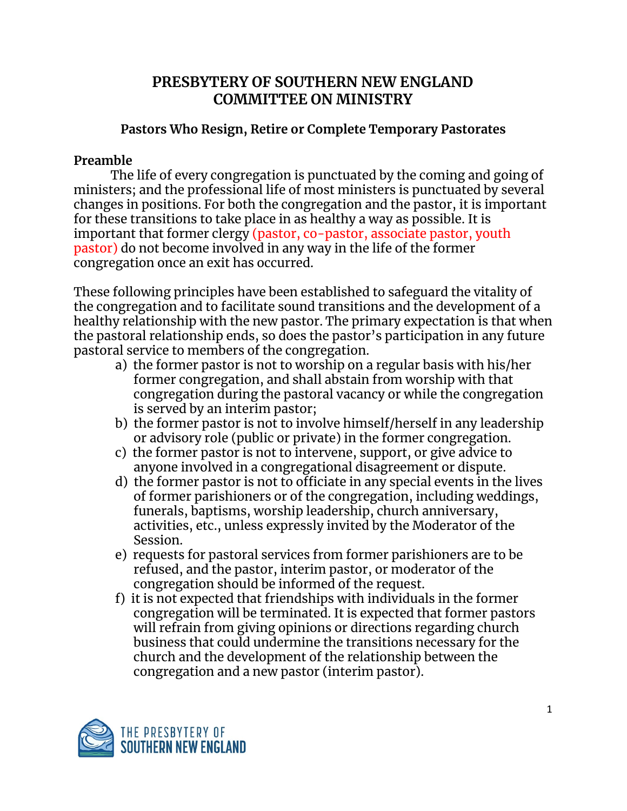# **PRESBYTERY OF SOUTHERN NEW ENGLAND COMMITTEE ON MINISTRY**

# **Pastors Who Resign, Retire or Complete Temporary Pastorates**

## **Preamble**

The life of every congregation is punctuated by the coming and going of ministers; and the professional life of most ministers is punctuated by several changes in positions. For both the congregation and the pastor, it is important for these transitions to take place in as healthy a way as possible. It is important that former clergy (pastor, co-pastor, associate pastor, youth pastor) do not become involved in any way in the life of the former congregation once an exit has occurred.

These following principles have been established to safeguard the vitality of the congregation and to facilitate sound transitions and the development of a healthy relationship with the new pastor. The primary expectation is that when the pastoral relationship ends, so does the pastor's participation in any future pastoral service to members of the congregation.

- a) the former pastor is not to worship on a regular basis with his/her former congregation, and shall abstain from worship with that congregation during the pastoral vacancy or while the congregation is served by an interim pastor;
- b) the former pastor is not to involve himself/herself in any leadership or advisory role (public or private) in the former congregation.
- c) the former pastor is not to intervene, support, or give advice to anyone involved in a congregational disagreement or dispute.
- d) the former pastor is not to officiate in any special events in the lives of former parishioners or of the congregation, including weddings, funerals, baptisms, worship leadership, church anniversary, activities, etc., unless expressly invited by the Moderator of the Session.
- e) requests for pastoral services from former parishioners are to be refused, and the pastor, interim pastor, or moderator of the congregation should be informed of the request.
- f) it is not expected that friendships with individuals in the former congregation will be terminated. It is expected that former pastors will refrain from giving opinions or directions regarding church business that could undermine the transitions necessary for the church and the development of the relationship between the congregation and a new pastor (interim pastor).

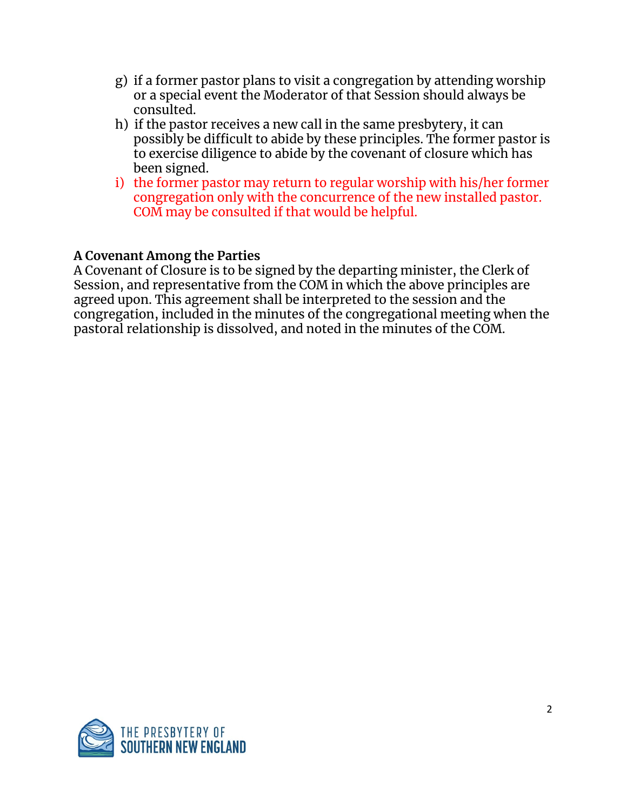- g) if a former pastor plans to visit a congregation by attending worship or a special event the Moderator of that Session should always be consulted.
- h) if the pastor receives a new call in the same presbytery, it can possibly be difficult to abide by these principles. The former pastor is to exercise diligence to abide by the covenant of closure which has been signed.
- i) the former pastor may return to regular worship with his/her former congregation only with the concurrence of the new installed pastor. COM may be consulted if that would be helpful.

# **A Covenant Among the Parties**

A Covenant of Closure is to be signed by the departing minister, the Clerk of Session, and representative from the COM in which the above principles are agreed upon. This agreement shall be interpreted to the session and the congregation, included in the minutes of the congregational meeting when the pastoral relationship is dissolved, and noted in the minutes of the COM.

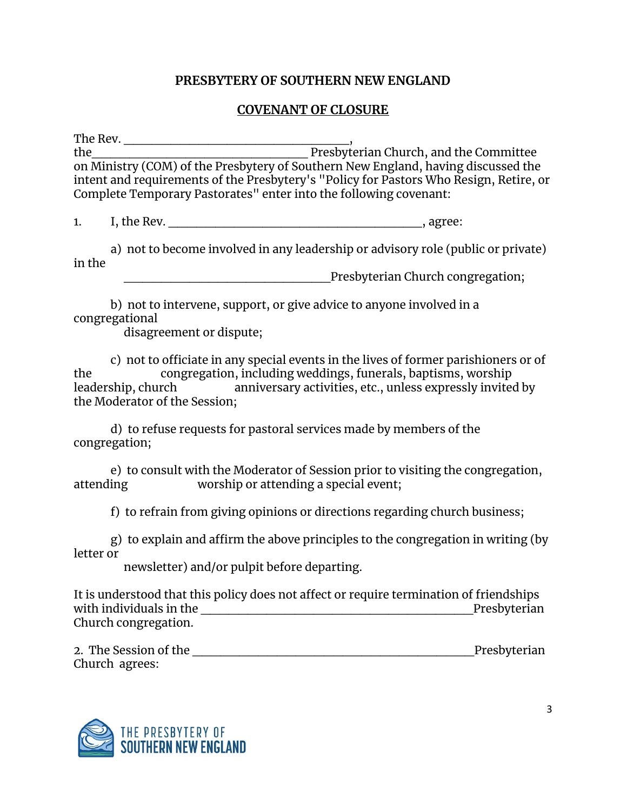#### **PRESBYTERY OF SOUTHERN NEW ENGLAND**

#### **COVENANT OF CLOSURE**

The Rev. \_\_\_\_\_\_\_\_\_\_\_\_\_\_\_\_\_\_\_\_\_\_\_\_, the\_\_\_\_\_\_\_\_\_\_\_\_\_\_\_\_\_\_\_\_\_\_\_ Presbyterian Church, and the Committee on Ministry (COM) of the Presbytery of Southern New England, having discussed the intent and requirements of the Presbytery's "Policy for Pastors Who Resign, Retire, or Complete Temporary Pastorates" enter into the following covenant:

1. I, the Rev. **I.** The Rev.

a) not to become involved in any leadership or advisory role (public or private) in the

Presbyterian Church congregation;

b) not to intervene, support, or give advice to anyone involved in a congregational

disagreement or dispute;

c) not to officiate in any special events in the lives of former parishioners or of the congregation, including weddings, funerals, baptisms, worship leadership, church anniversary activities, etc., unless expressly invited by the Moderator of the Session;

d) to refuse requests for pastoral services made by members of the congregation;

e) to consult with the Moderator of Session prior to visiting the congregation, attending worship or attending a special event;

f) to refrain from giving opinions or directions regarding church business;

g) to explain and affirm the above principles to the congregation in writing (by letter or

newsletter) and/or pulpit before departing.

It is understood that this policy does not affect or require termination of friendships with individuals in the \_\_\_\_\_\_\_\_\_\_\_\_\_\_\_\_\_\_\_\_\_\_\_\_\_\_\_\_\_Presbyterian Church congregation.

| 2. The Session of the | Presbyterian |
|-----------------------|--------------|
| Church agrees:        |              |

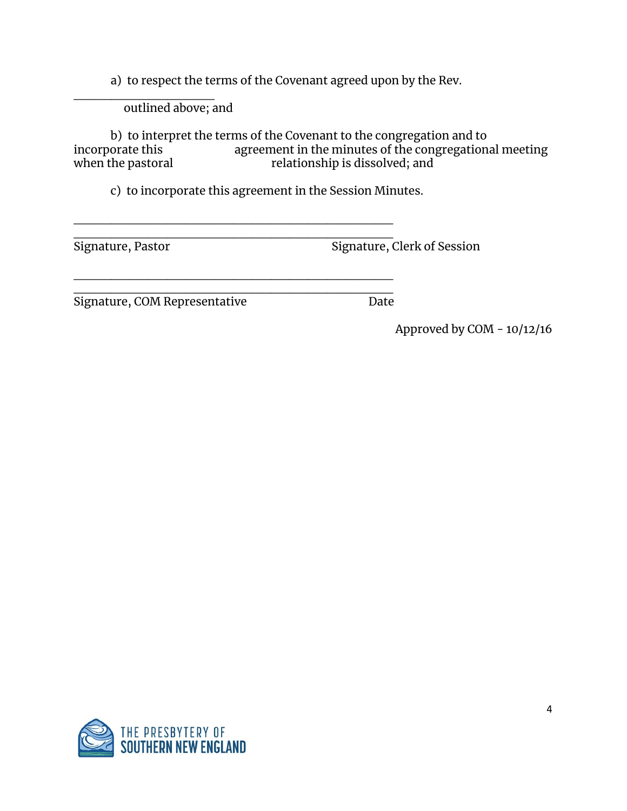a) to respect the terms of the Covenant agreed upon by the Rev.

 $\overline{\phantom{a}}$  . The set of the set of the set of the set of the set of the set of the set of the set of the set of the set of the set of the set of the set of the set of the set of the set of the set of the set of the set o outlined above; and

b) to interpret the terms of the Covenant to the congregation and to incorporate this agreement in the minutes of the congregation incorporate this agreement in the minutes of the congregational meeting<br>when the pastoral relationship is dissolved; and relationship is dissolved; and

c) to incorporate this agreement in the Session Minutes.

\_\_\_\_\_\_\_\_\_\_\_\_\_\_\_\_\_\_\_\_\_\_\_\_\_\_\_\_\_\_\_\_\_\_

\_\_\_\_\_\_\_\_\_\_\_\_\_\_\_\_\_\_\_\_\_\_\_\_\_\_\_\_\_\_\_\_\_\_

\_\_\_\_\_\_\_\_\_\_\_\_\_\_\_\_\_\_\_\_\_\_\_\_\_\_\_\_\_\_\_\_\_\_ Signature, Pastor Signature, Clerk of Session

\_\_\_\_\_\_\_\_\_\_\_\_\_\_\_\_\_\_\_\_\_\_\_\_\_\_\_\_\_\_\_\_\_\_ Signature, COM Representative Date

Approved by COM - 10/12/16

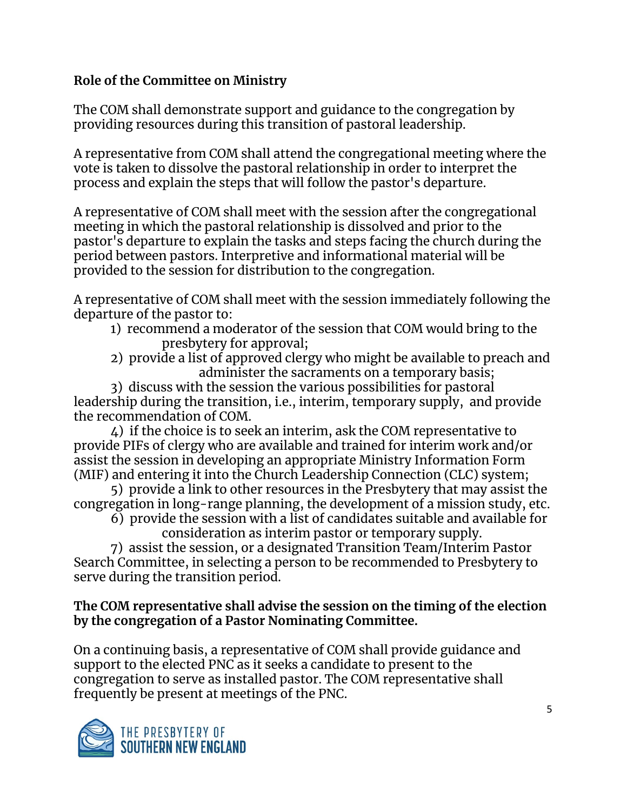# **Role of the Committee on Ministry**

The COM shall demonstrate support and guidance to the congregation by providing resources during this transition of pastoral leadership.

A representative from COM shall attend the congregational meeting where the vote is taken to dissolve the pastoral relationship in order to interpret the process and explain the steps that will follow the pastor's departure.

A representative of COM shall meet with the session after the congregational meeting in which the pastoral relationship is dissolved and prior to the pastor's departure to explain the tasks and steps facing the church during the period between pastors. Interpretive and informational material will be provided to the session for distribution to the congregation.

A representative of COM shall meet with the session immediately following the departure of the pastor to:

- 1) recommend a moderator of the session that COM would bring to the presbytery for approval;
- 2) provide a list of approved clergy who might be available to preach and administer the sacraments on a temporary basis;

3) discuss with the session the various possibilities for pastoral leadership during the transition, i.e., interim, temporary supply, and provide the recommendation of COM.

4) if the choice is to seek an interim, ask the COM representative to provide PIFs of clergy who are available and trained for interim work and/or assist the session in developing an appropriate Ministry Information Form (MIF) and entering it into the Church Leadership Connection (CLC) system;

5) provide a link to other resources in the Presbytery that may assist the congregation in long-range planning, the development of a mission study, etc.

6) provide the session with a list of candidates suitable and available for consideration as interim pastor or temporary supply.

7) assist the session, or a designated Transition Team/Interim Pastor Search Committee, in selecting a person to be recommended to Presbytery to serve during the transition period.

## **The COM representative shall advise the session on the timing of the election by the congregation of a Pastor Nominating Committee.**

On a continuing basis, a representative of COM shall provide guidance and support to the elected PNC as it seeks a candidate to present to the congregation to serve as installed pastor. The COM representative shall frequently be present at meetings of the PNC.

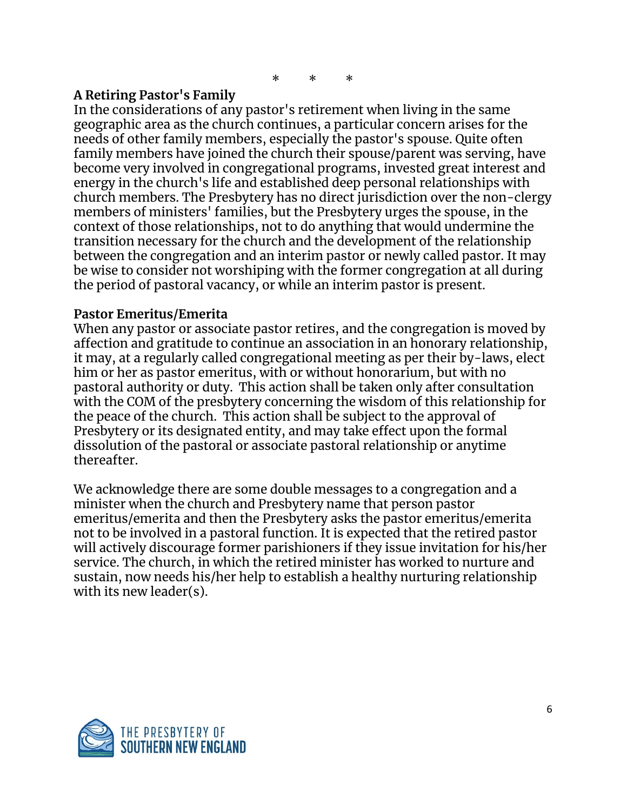\* \* \*

## **A Retiring Pastor's Family**

In the considerations of any pastor's retirement when living in the same geographic area as the church continues, a particular concern arises for the needs of other family members, especially the pastor's spouse. Quite often family members have joined the church their spouse/parent was serving, have become very involved in congregational programs, invested great interest and energy in the church's life and established deep personal relationships with church members. The Presbytery has no direct jurisdiction over the non-clergy members of ministers' families, but the Presbytery urges the spouse, in the context of those relationships, not to do anything that would undermine the transition necessary for the church and the development of the relationship between the congregation and an interim pastor or newly called pastor. It may be wise to consider not worshiping with the former congregation at all during the period of pastoral vacancy, or while an interim pastor is present.

### **Pastor Emeritus/Emerita**

When any pastor or associate pastor retires, and the congregation is moved by affection and gratitude to continue an association in an honorary relationship, it may, at a regularly called congregational meeting as per their by-laws, elect him or her as pastor emeritus, with or without honorarium, but with no pastoral authority or duty. This action shall be taken only after consultation with the COM of the presbytery concerning the wisdom of this relationship for the peace of the church. This action shall be subject to the approval of Presbytery or its designated entity, and may take effect upon the formal dissolution of the pastoral or associate pastoral relationship or anytime thereafter.

We acknowledge there are some double messages to a congregation and a minister when the church and Presbytery name that person pastor emeritus/emerita and then the Presbytery asks the pastor emeritus/emerita not to be involved in a pastoral function. It is expected that the retired pastor will actively discourage former parishioners if they issue invitation for his/her service. The church, in which the retired minister has worked to nurture and sustain, now needs his/her help to establish a healthy nurturing relationship with its new leader(s).